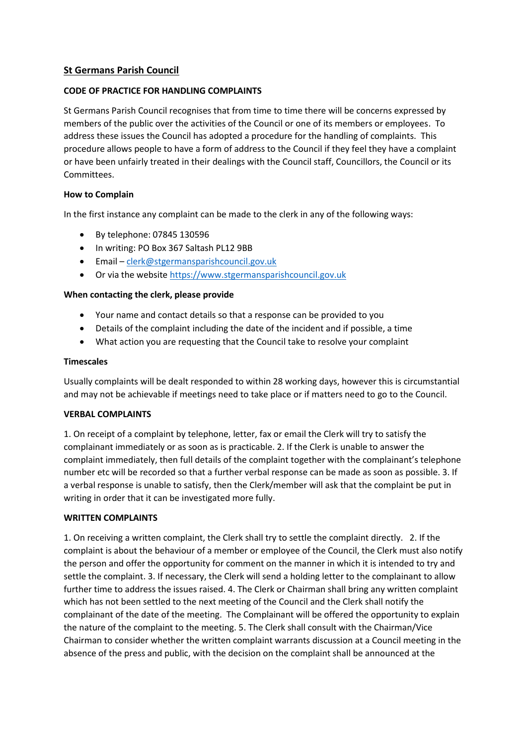# **St Germans Parish Council**

## **CODE OF PRACTICE FOR HANDLING COMPLAINTS**

St Germans Parish Council recognises that from time to time there will be concerns expressed by members of the public over the activities of the Council or one of its members or employees. To address these issues the Council has adopted a procedure for the handling of complaints. This procedure allows people to have a form of address to the Council if they feel they have a complaint or have been unfairly treated in their dealings with the Council staff, Councillors, the Council or its Committees.

## **How to Complain**

In the first instance any complaint can be made to the clerk in any of the following ways:

- By telephone: 07845 130596
- In writing: PO Box 367 Saltash PL12 9BB
- Email [clerk@stgermansparishcouncil.gov.uk](mailto:stgermansparish@gmail.com)
- Or via the website [https://www.stgermansparishcouncil.gov.uk](https://www.stgermansparishcouncil.gov.uk/)

## **When contacting the clerk, please provide**

- Your name and contact details so that a response can be provided to you
- Details of the complaint including the date of the incident and if possible, a time
- What action you are requesting that the Council take to resolve your complaint

#### **Timescales**

Usually complaints will be dealt responded to within 28 working days, however this is circumstantial and may not be achievable if meetings need to take place or if matters need to go to the Council.

#### **VERBAL COMPLAINTS**

1. On receipt of a complaint by telephone, letter, fax or email the Clerk will try to satisfy the complainant immediately or as soon as is practicable. 2. If the Clerk is unable to answer the complaint immediately, then full details of the complaint together with the complainant's telephone number etc will be recorded so that a further verbal response can be made as soon as possible. 3. If a verbal response is unable to satisfy, then the Clerk/member will ask that the complaint be put in writing in order that it can be investigated more fully.

#### **WRITTEN COMPLAINTS**

1. On receiving a written complaint, the Clerk shall try to settle the complaint directly. 2. If the complaint is about the behaviour of a member or employee of the Council, the Clerk must also notify the person and offer the opportunity for comment on the manner in which it is intended to try and settle the complaint. 3. If necessary, the Clerk will send a holding letter to the complainant to allow further time to address the issues raised. 4. The Clerk or Chairman shall bring any written complaint which has not been settled to the next meeting of the Council and the Clerk shall notify the complainant of the date of the meeting. The Complainant will be offered the opportunity to explain the nature of the complaint to the meeting. 5. The Clerk shall consult with the Chairman/Vice Chairman to consider whether the written complaint warrants discussion at a Council meeting in the absence of the press and public, with the decision on the complaint shall be announced at the